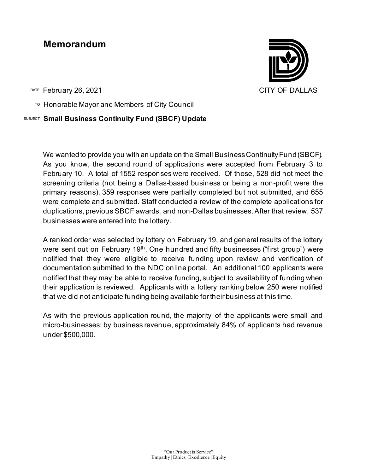# **Memorandum**

DATE February 26, 2021 CITY OF DALLAS

TO Honorable Mayor and Members of City Council

#### SUBJECT **Small Business Continuity Fund (SBCF) Update**

We wanted to provide you with an update on the Small Business Continuity Fund (SBCF). As you know, the second round of applications were accepted from February 3 to February 10. A total of 1552 responses were received. Of those, 528 did not meet the screening criteria (not being a Dallas-based business or being a non-profit were the primary reasons), 359 responses were partially completed but not submitted, and 655 were complete and submitted. Staff conducted a review of the complete applications for duplications, previous SBCF awards, and non-Dallas businesses. After that review, 537 businesses were entered into the lottery.

A ranked order was selected by lottery on February 19, and general results of the lottery were sent out on February  $19<sup>th</sup>$ . One hundred and fifty businesses ("first group") were notified that they were eligible to receive funding upon review and verification of documentation submitted to the NDC online portal. An additional 100 applicants were notified that they may be able to receive funding, subject to availability of funding when their application is reviewed. Applicants with a lottery ranking below 250 were notified that we did not anticipate funding being available for their business at this time.

As with the previous application round, the majority of the applicants were small and micro-businesses; by business revenue, approximately 84% of applicants had revenue under \$500,000.

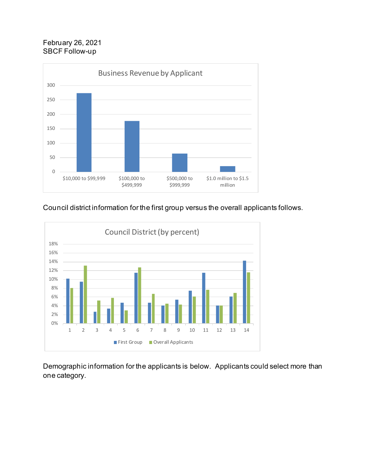## February 26, 2021 SBCF Follow-up



## Council district information for the first group versus the overall applicants follows.



Demographic information for the applicants is below. Applicants could select more than one category.